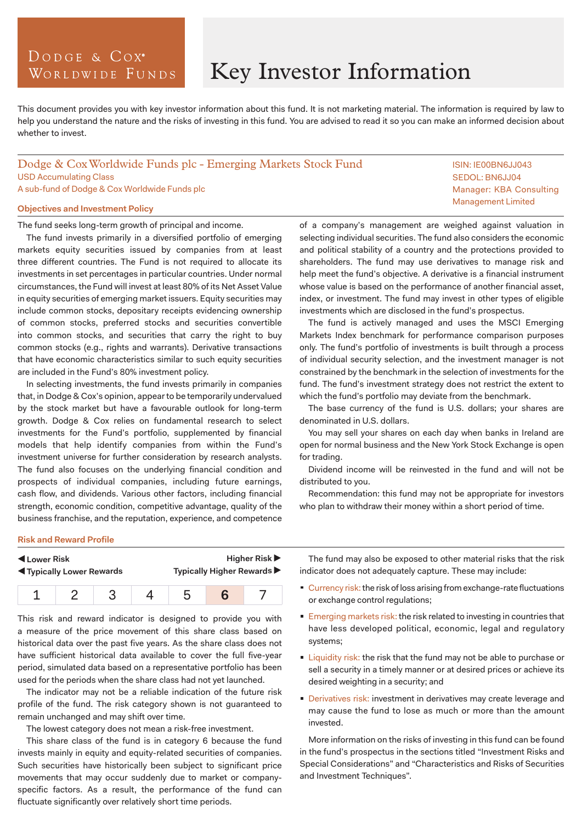# DODGE & COX<sup>°</sup> WORLDWIDE FUNDS

# Key Investor Information

This document provides you with key investor information about this fund. It is not marketing material. The information is required by law to help you understand the nature and the risks of investing in this fund. You are advised to read it so you can make an informed decision about whether to invest.

## Dodge & Cox Worldwide Funds plc - Emerging Markets Stock Fund USD Accumulating Class A sub-fund of Dodge & Cox Worldwide Funds plc

## **Objectives and Investment Policy**

The fund seeks long-term growth of principal and income.

The fund invests primarily in a diversified portfolio of emerging markets equity securities issued by companies from at least three different countries. The Fund is not required to allocate its investments in set percentages in particular countries. Under normal circumstances, the Fund will invest at least 80% of its Net Asset Value in equity securities of emerging market issuers. Equity securities may include common stocks, depositary receipts evidencing ownership of common stocks, preferred stocks and securities convertible into common stocks, and securities that carry the right to buy common stocks (e.g., rights and warrants). Derivative transactions that have economic characteristics similar to such equity securities are included in the Fund's 80% investment policy.

In selecting investments, the fund invests primarily in companies that, in Dodge & Cox's opinion, appear to be temporarily undervalued by the stock market but have a favourable outlook for long-term growth. Dodge & Cox relies on fundamental research to select investments for the Fund's portfolio, supplemented by financial models that help identify companies from within the Fund's investment universe for further consideration by research analysts. The fund also focuses on the underlying financial condition and prospects of individual companies, including future earnings, cash flow, and dividends. Various other factors, including financial strength, economic condition, competitive advantage, quality of the business franchise, and the reputation, experience, and competence

of a company's management are weighed against valuation in selecting individual securities. The fund also considers the economic and political stability of a country and the protections provided to shareholders. The fund may use derivatives to manage risk and help meet the fund's objective. A derivative is a financial instrument whose value is based on the performance of another financial asset, index, or investment. The fund may invest in other types of eligible investments which are disclosed in the fund's prospectus.

The fund is actively managed and uses the MSCI Emerging Markets Index benchmark for performance comparison purposes only. The fund's portfolio of investments is built through a process of individual security selection, and the investment manager is not constrained by the benchmark in the selection of investments for the fund. The fund's investment strategy does not restrict the extent to which the fund's portfolio may deviate from the benchmark.

The base currency of the fund is U.S. dollars; your shares are denominated in U.S. dollars.

You may sell your shares on each day when banks in Ireland are open for normal business and the New York Stock Exchange is open for trading.

Dividend income will be reinvested in the fund and will not be distributed to you.

Recommendation: this fund may not be appropriate for investors who plan to withdraw their money within a short period of time.

#### **Risk and Reward Profile**

| Lower Risk                         |  |  |  | <b>Higher Risk ▶</b>       |  |  |
|------------------------------------|--|--|--|----------------------------|--|--|
| <b>IVI</b> Typically Lower Rewards |  |  |  | Typically Higher Rewards ▶ |  |  |
|                                    |  |  |  |                            |  |  |

This risk and reward indicator is designed to provide you with a measure of the price movement of this share class based on historical data over the past five years. As the share class does not have sufficient historical data available to cover the full five-year period, simulated data based on a representative portfolio has been used for the periods when the share class had not yet launched.

The indicator may not be a reliable indication of the future risk profile of the fund. The risk category shown is not guaranteed to remain unchanged and may shift over time.

The lowest category does not mean a risk-free investment.

This share class of the fund is in category 6 because the fund invests mainly in equity and equity-related securities of companies. Such securities have historically been subject to significant price movements that may occur suddenly due to market or companyspecific factors. As a result, the performance of the fund can fluctuate significantly over relatively short time periods.

The fund may also be exposed to other material risks that the risk indicator does not adequately capture. These may include:

- Currency risk: the risk of loss arising from exchange-rate fluctuations or exchange control regulations;
- **Emerging markets risk: the risk related to investing in countries that** have less developed political, economic, legal and regulatory systems;
- **Liquidity risk: the risk that the fund may not be able to purchase or** sell a security in a timely manner or at desired prices or achieve its desired weighting in a security; and
- Derivatives risk: investment in derivatives may create leverage and may cause the fund to lose as much or more than the amount invested.

More information on the risks of investing in this fund can be found in the fund's prospectus in the sections titled "Investment Risks and Special Considerations" and "Characteristics and Risks of Securities and Investment Techniques".

ISIN: IE00BN6JJ043 SEDOL: BN6JJ04 Manager: KBA Consulting Management Limited